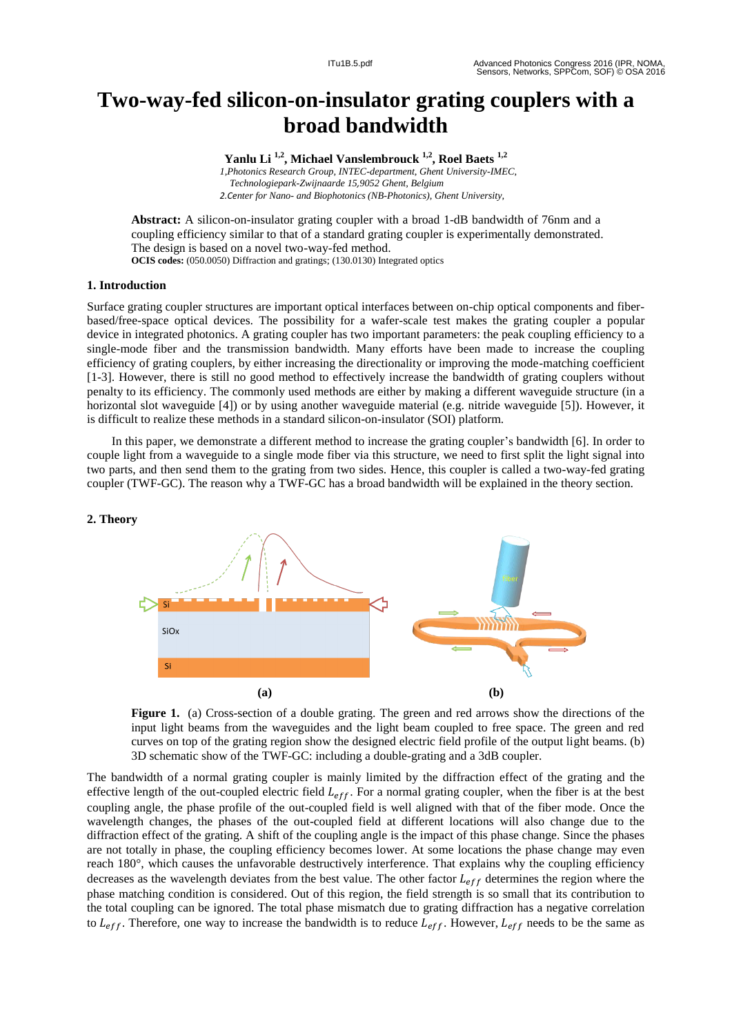# **Two -way -fed silicon -on -insulator grating couplers with a broad bandwidth**

**Yanlu Li 1,2 , Michael Vanslembrouck 1,2 , Roel Baets 1,2** *1,Photonics Research Group, INTEC -department, Ghent University -IMEC, Technologiepark -Zwijnaarde 15,9052 Ghent, Belgium 2.Center for Nano - and Biophotonics (NB -Photonics), Ghent University,*

Abstract: A silicon-on-insulator grating coupler with a broad 1-dB bandwidth of 76nm and a coupling efficiency similar to that of a standard grating coupler is experimentally demonstrated. The design is based on a novel two-way-fed method. **OCIS codes:** (050.0050) Diffraction and gratings; (130.0130) Integrated optics

# **1. Introduction**

Surface grating coupler structures are important optical interfaces between on -chip optical components and fiber based/free -space optical devices. The possibility for a wafer -scale test makes the grating coupler a popular device in integrated photonics. A grating coupler has two important parameters: the peak coupling efficiency to a single -mode fiber and the transmission bandwidth. Many efforts have been made to increase the coupling efficiency of grating couplers, by either increasing the directionality or improving the mode -matching coefficient [ 1 -3]. However, there is still no good method to effectively increase the bandwidth of grating couplers without penalty to its efficiency . The commonly used methods are either by making a different waveguide structure (in a horizontal slot waveguide [4]) or by using another waveguide material (e.g. nitride waveguide [5]). However, it is difficult to realize these methods in a standard silicon -on -insulator (SOI) platform.

 In this paper, we demonstrate a different method to increase the grating coupler's bandwidth [6] . In order to couple light from a waveguide to a single mode fiber via this structure, we need to first split the light signal into two parts, and then send them to the grating from two sides. Hence, this coupler is called a two-way-fed grating coupler (TWF -GC) . The reason why a TWF -GC has a broad bandwidth will be explained in the theory section.



Figure 1. (a) Cross-section of a double grating. The green and red arrows show the directions of the input light beams from the waveguides and the light beam coupled to free space. The green and red curve s on top of the grating region show the designed electric field profile of the output light beams. (b) 3D schematic show of the TWF -GC: including a double -grating and a 3dB coupler.

The bandwidth of a normal grating coupler is mainly limited by the diffraction effect of the grating and the effective length of the out-coupled electric field  $L_{eff}$ . For a normal grating coupler, when the fiber is at the best coupling angle, the phase profile of the out -coupled field is well aligned with that of the fiber mode. Once the wavelength changes, the phase s of the out -coupled field at different locations will also change due to the diffraction effect of the grating. A shift of the coupling angle is the impact of this phase change. Since the phases are not totally in phase, the coupling efficiency becomes lower. At some locations the phase change may even reach 180°, which causes the unfavorable destructively interference. That explains why the coupling efficiency decreases as the wavelength deviates from the best value. The other factor  $L_{eff}$  determines the region where the phase matching condition is considered. Out of this region, the field strength is so small that its contribution to the total coupling can be ignored. The total phase mismatch due to grating diffraction has a negative correlation to  $L_{eff}$ . Therefore, one way to increase the bandwidth is to reduce  $L_{eff}$ . However,  $L_{eff}$  needs to be the same as

### **2. Theory**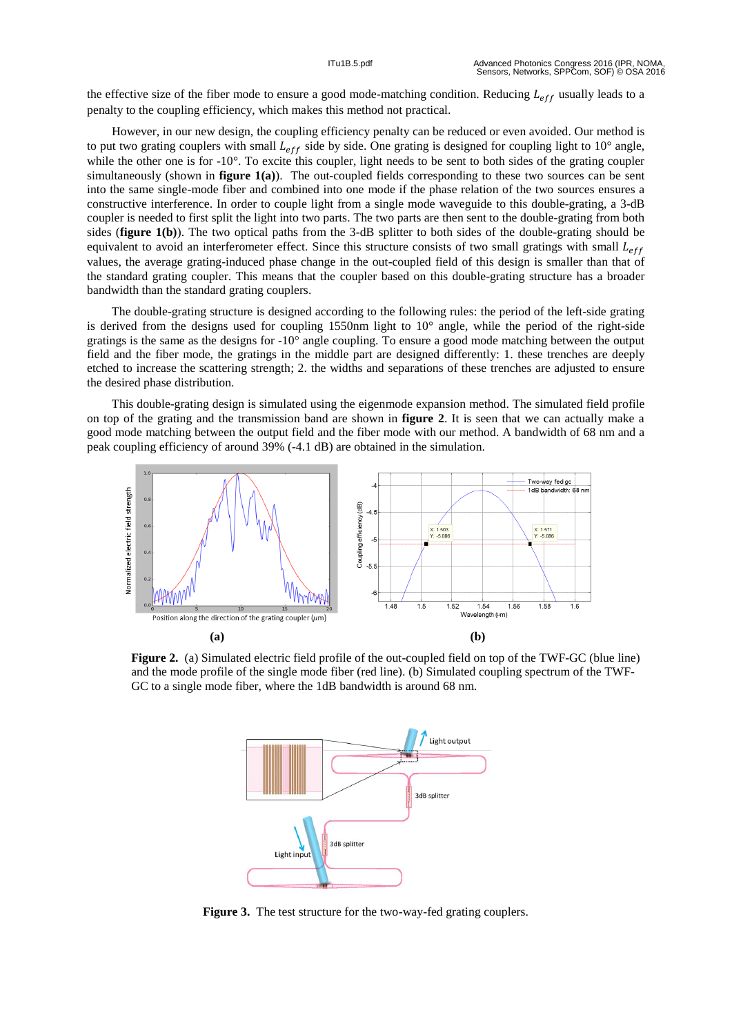the effective size of the fiber mode to ensure a good mode-matching condition. Reducing  $L_{eff}$  usually leads to a penalty to the coupling efficiency, which makes this method not practical.

 However, in our new design, the coupling efficiency penalty can be reduced or even avoided. Our method is to put two grating couplers with small  $L_{eff}$  side by side. One grating is designed for coupling light to 10 $^{\circ}$  angle, while the other one is for  $-10^{\circ}$ . To excite this coupler, light needs to be sent to both sides of the grating coupler simultaneously (shown in **figure 1(a)**). The out-coupled fields corresponding to these two sources can be sent into the same single -mode fiber and combined into one mode if the phase relation of the two sources ensure s a constructive interference. In order to couple light from a single mode waveguide to this double-grating, a 3-dB coupler is needed to first split the light into two parts. The two parts are then sent to the double -grating from both sides (**figure 1(b)**). The two optical paths from the  $3-dB$  splitter to both sides of the double-grating should be equivalent to avoid an interferometer effect. Since this structure consists of two small gratings with small  $L_{eff}$ values, the average grating -induced phase change in the out -coupled field of this design is smaller than that of the standard grating coupler. This means that the coupler based on this double -grating structure has a broader bandwidth than the standard grating couplers .

 The double -grating structure is designed according to the following rule s : the period of the left -side grating is derived from the designs used for coupling 1550nm light to 10 ° angle, while the period of the right -side gratings is the same as the designs for -10 ° angle coupling. To ensure a good mode matching between the output field and the fiber mode, the gratings in the middle part are designed differently: 1. these trenches are deeply etched to increase the scattering strength ; 2. the widths and separations of these trenches are adjusted to ensure the desired phase distribution.

 This double -grating design is simulated using the eigenmode expansion method. The simulated field profile on top of the grating and the transmission band are shown in **figure 2**. It is seen that we can actually make a good mode matching between the output field and the fiber mode with our method. A bandwidth of 68 nm and a peak coupling efficiency of around 39% ( - 4.1 dB) are obtained in the simulation.



**Figure 2.** (a) Simulated electric field profile of the out-coupled field on top of the TWF-GC (blue line) and the mode profile of the single mode fiber (red line). (b) Simulated coupling spectrum of the TWF - GC to a single mode fiber, where the 1dB bandwidth is around 68 nm.



Figure 3. The test structure for the two-way-fed grating couplers.